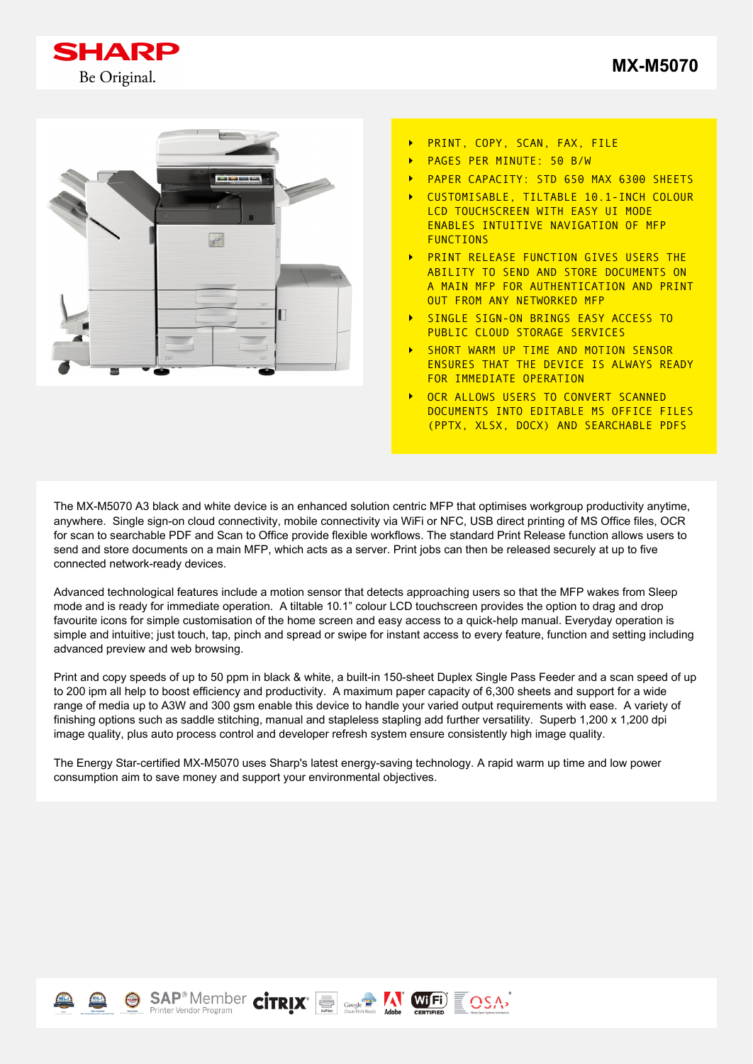



- PRINT, COPY, SCAN, FAX, FILE  $\ddot{\phantom{1}}$
- PAGES PER MINUTE: 50 B/W
- PAPER CAPACITY: STD 650 MAX 6300 SHEETS
- CUSTOMISABLE, TILTABLE 10.1-INCH COLOUR LCD TOUCHSCREEN WITH EASY UI MODE ENABLES INTUITIVE NAVIGATION OF MFP FUNCTIONS
- PRINT RELEASE FUNCTION GIVES USERS THE ABILITY TO SEND AND STORE DOCUMENTS ON A MAIN MFP FOR AUTHENTICATION AND PRINT OUT FROM ANY NETWORKED MFP
- SINGLE SIGN-ON BRINGS EASY ACCESS TO PUBLIC CLOUD STORAGE SERVICES
- SHORT WARM UP TIME AND MOTION SENSOR ENSURES THAT THE DEVICE IS ALWAYS READY FOR IMMEDIATE OPERATION
- OCR ALLOWS USERS TO CONVERT SCANNED DOCUMENTS INTO EDITABLE MS OFFICE FILES (PPTX, XLSX, DOCX) AND SEARCHABLE PDFS

The MX-M5070 A3 black and white device is an enhanced solution centric MFP that optimises workgroup productivity anytime, anywhere. Single sign-on cloud connectivity, mobile connectivity via WiFi or NFC, USB direct printing of MS Office files, OCR for scan to searchable PDF and Scan to Office provide flexible workflows. The standard Print Release function allows users to send and store documents on a main MFP, which acts as a server. Print jobs can then be released securely at up to five connected network-ready devices.

Advanced technological features include a motion sensor that detects approaching users so that the MFP wakes from Sleep mode and is ready for immediate operation. A tiltable 10.1" colour LCD touchscreen provides the option to drag and drop favourite icons for simple customisation of the home screen and easy access to a quick-help manual. Everyday operation is simple and intuitive; just touch, tap, pinch and spread or swipe for instant access to every feature, function and setting including advanced preview and web browsing.

Print and copy speeds of up to 50 ppm in black & white, a built-in 150-sheet Duplex Single Pass Feeder and a scan speed of up to 200 ipm all help to boost efficiency and productivity. A maximum paper capacity of 6,300 sheets and support for a wide range of media up to A3W and 300 gsm enable this device to handle your varied output requirements with ease. A variety of finishing options such as saddle stitching, manual and stapleless stapling add further versatility. Superb 1,200 x 1,200 dpi image quality, plus auto process control and developer refresh system ensure consistently high image quality.

The Energy Star-certified MX-M5070 uses Sharp's latest energy-saving technology. A rapid warm up time and low power consumption aim to save money and support your environmental objectives.

 $\text{SAP}^{\circ}$  Member  $\text{Cirr}_\text{lower}$   $\text{Cirr}_\text{lower}$   $\text{Cirr}_\text{lower}$  and  $\text{Cirr}_\text{lower}$  and  $\text{Cirr}_\text{lower}$  and  $\text{Cirr}_\text{lower}$  and  $\text{Cirr}_\text{lower}$  and  $\text{Cirr}_\text{lower}$  and  $\text{Cirr}_\text{lower}$  and  $\text{Cirr}_\text{lower}$  and  $\text{Cirr}_\text{lower}$  and